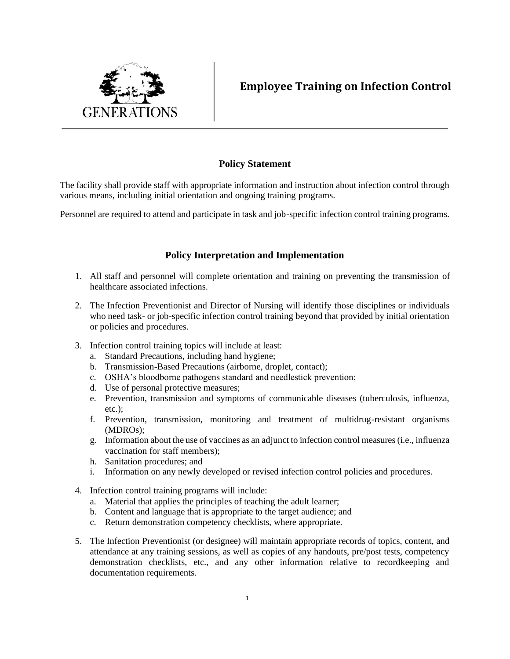

## **Employee Training on Infection Control**

## **Policy Statement**

The facility shall provide staff with appropriate information and instruction about infection control through various means, including initial orientation and ongoing training programs.

Personnel are required to attend and participate in task and job-specific infection control training programs.

## **Policy Interpretation and Implementation**

- 1. All staff and personnel will complete orientation and training on preventing the transmission of healthcare associated infections.
- 2. The Infection Preventionist and Director of Nursing will identify those disciplines or individuals who need task- or job-specific infection control training beyond that provided by initial orientation or policies and procedures.
- 3. Infection control training topics will include at least:
	- a. Standard Precautions, including hand hygiene;
	- b. Transmission-Based Precautions (airborne, droplet, contact);
	- c. OSHA's bloodborne pathogens standard and needlestick prevention;
	- d. Use of personal protective measures;
	- e. Prevention, transmission and symptoms of communicable diseases (tuberculosis, influenza, etc.);
	- f. Prevention, transmission, monitoring and treatment of multidrug-resistant organisms (MDROs);
	- g. Information about the use of vaccines as an adjunct to infection control measures (i.e., influenza vaccination for staff members);
	- h. Sanitation procedures; and
	- i. Information on any newly developed or revised infection control policies and procedures.
- 4. Infection control training programs will include:
	- a. Material that applies the principles of teaching the adult learner;
	- b. Content and language that is appropriate to the target audience; and
	- c. Return demonstration competency checklists, where appropriate.
- 5. The Infection Preventionist (or designee) will maintain appropriate records of topics, content, and attendance at any training sessions, as well as copies of any handouts, pre/post tests, competency demonstration checklists, etc., and any other information relative to recordkeeping and documentation requirements.